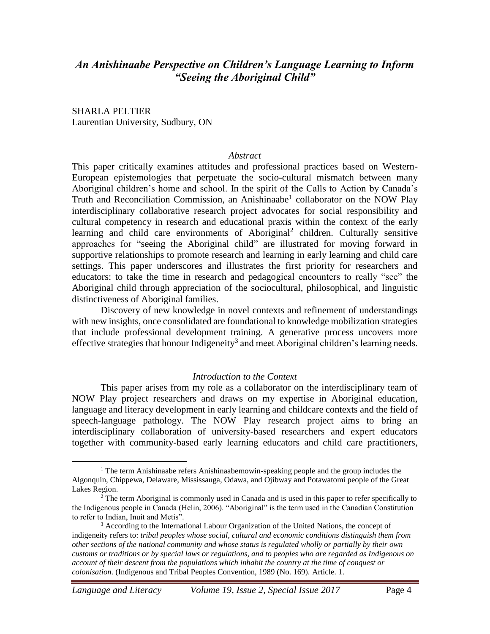# *An Anishinaabe Perspective on Children's Language Learning to Inform "Seeing the Aboriginal Child"*

SHARLA PELTIER Laurentian University, Sudbury, ON

 $\overline{a}$ 

#### *Abstract*

This paper critically examines attitudes and professional practices based on Western-European epistemologies that perpetuate the socio-cultural mismatch between many Aboriginal children's home and school. In the spirit of the Calls to Action by Canada's Truth and Reconciliation Commission, an Anishinaabe<sup>1</sup> collaborator on the NOW Play interdisciplinary collaborative research project advocates for social responsibility and cultural competency in research and educational praxis within the context of the early learning and child care environments of Aboriginal<sup>2</sup> children. Culturally sensitive approaches for "seeing the Aboriginal child" are illustrated for moving forward in supportive relationships to promote research and learning in early learning and child care settings. This paper underscores and illustrates the first priority for researchers and educators: to take the time in research and pedagogical encounters to really "see" the Aboriginal child through appreciation of the sociocultural, philosophical, and linguistic distinctiveness of Aboriginal families.

Discovery of new knowledge in novel contexts and refinement of understandings with new insights, once consolidated are foundational to knowledge mobilization strategies that include professional development training. A generative process uncovers more effective strategies that honour Indigeneity<sup>3</sup> and meet Aboriginal children's learning needs.

#### *Introduction to the Context*

This paper arises from my role as a collaborator on the interdisciplinary team of NOW Play project researchers and draws on my expertise in Aboriginal education, language and literacy development in early learning and childcare contexts and the field of speech-language pathology. The NOW Play research project aims to bring an interdisciplinary collaboration of university-based researchers and expert educators together with community-based early learning educators and child care practitioners,

<sup>&</sup>lt;sup>1</sup> The term Anishinaabe refers Anishinaabemowin-speaking people and the group includes the Algonquin, Chippewa, Delaware, Mississauga, Odawa, and Ojibway and Potawatomi people of the Great Lakes Region.

 $2^{2}$  The term Aboriginal is commonly used in Canada and is used in this paper to refer specifically to the Indigenous people in Canada (Helin, 2006). "Aboriginal" is the term used in the Canadian Constitution to refer to Indian, Inuit and Metis".

<sup>3</sup> According to the International Labour Organization of the United Nations, the concept of indigeneity refers to: *tribal peoples whose social, cultural and economic conditions distinguish them from other sections of the national community and whose status is regulated wholly or partially by their own customs or traditions or by special laws or regulations, and to peoples who are regarded as Indigenous on account of their descent from the populations which inhabit the country at the time of conquest or colonisation.* (Indigenous and Tribal Peoples Convention, 1989 (No. 169). Article. 1.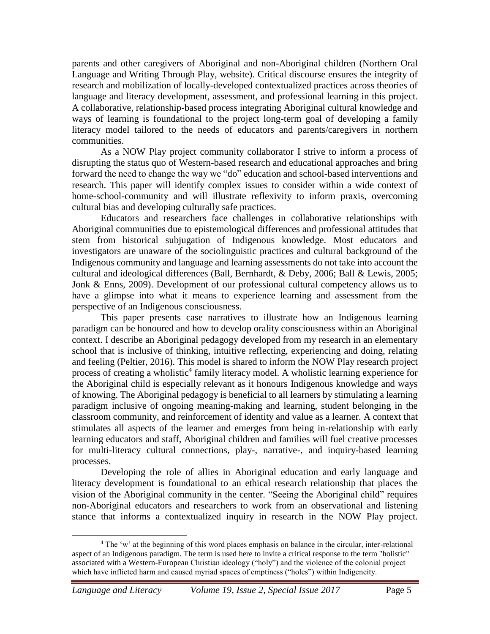parents and other caregivers of Aboriginal and non-Aboriginal children (Northern Oral Language and Writing Through Play, website). Critical discourse ensures the integrity of research and mobilization of locally-developed contextualized practices across theories of language and literacy development, assessment, and professional learning in this project. A collaborative, relationship-based process integrating Aboriginal cultural knowledge and ways of learning is foundational to the project long-term goal of developing a family literacy model tailored to the needs of educators and parents/caregivers in northern communities.

As a NOW Play project community collaborator I strive to inform a process of disrupting the status quo of Western-based research and educational approaches and bring forward the need to change the way we "do" education and school-based interventions and research. This paper will identify complex issues to consider within a wide context of home-school-community and will illustrate reflexivity to inform praxis, overcoming cultural bias and developing culturally safe practices.

Educators and researchers face challenges in collaborative relationships with Aboriginal communities due to epistemological differences and professional attitudes that stem from historical subjugation of Indigenous knowledge. Most educators and investigators are unaware of the sociolinguistic practices and cultural background of the Indigenous community and language and learning assessments do not take into account the cultural and ideological differences (Ball, Bernhardt, & Deby, 2006; Ball & Lewis, 2005; Jonk & Enns, 2009). Development of our professional cultural competency allows us to have a glimpse into what it means to experience learning and assessment from the perspective of an Indigenous consciousness.

This paper presents case narratives to illustrate how an Indigenous learning paradigm can be honoured and how to develop orality consciousness within an Aboriginal context. I describe an Aboriginal pedagogy developed from my research in an elementary school that is inclusive of thinking, intuitive reflecting, experiencing and doing, relating and feeling (Peltier, 2016). This model is shared to inform the NOW Play research project process of creating a wholistic<sup>4</sup> family literacy model. A wholistic learning experience for the Aboriginal child is especially relevant as it honours Indigenous knowledge and ways of knowing. The Aboriginal pedagogy is beneficial to all learners by stimulating a learning paradigm inclusive of ongoing meaning-making and learning, student belonging in the classroom community, and reinforcement of identity and value as a learner. A context that stimulates all aspects of the learner and emerges from being in-relationship with early learning educators and staff, Aboriginal children and families will fuel creative processes for multi-literacy cultural connections, play-, narrative-, and inquiry-based learning processes.

Developing the role of allies in Aboriginal education and early language and literacy development is foundational to an ethical research relationship that places the vision of the Aboriginal community in the center. "Seeing the Aboriginal child" requires non-Aboriginal educators and researchers to work from an observational and listening stance that informs a contextualized inquiry in research in the NOW Play project.

 $\overline{a}$ 

<sup>4</sup> The 'w' at the beginning of this word places emphasis on balance in the circular, inter-relational aspect of an Indigenous paradigm. The term is used here to invite a critical response to the term "holistic" associated with a Western-European Christian ideology ("holy") and the violence of the colonial project which have inflicted harm and caused myriad spaces of emptiness ("holes") within Indigeneity.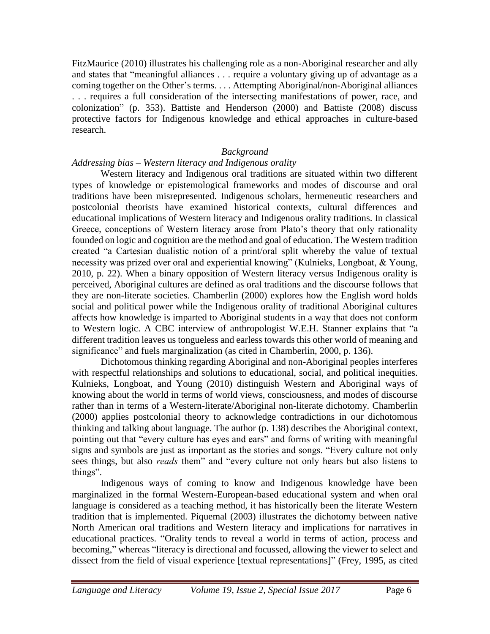FitzMaurice (2010) illustrates his challenging role as a non-Aboriginal researcher and ally and states that "meaningful alliances . . . require a voluntary giving up of advantage as a coming together on the Other's terms. . . . Attempting Aboriginal/non-Aboriginal alliances . . . requires a full consideration of the intersecting manifestations of power, race, and colonization" (p. 353). Battiste and Henderson (2000) and Battiste (2008) discuss protective factors for Indigenous knowledge and ethical approaches in culture-based research.

## *Background*

### *Addressing bias – Western literacy and Indigenous orality*

Western literacy and Indigenous oral traditions are situated within two different types of knowledge or epistemological frameworks and modes of discourse and oral traditions have been misrepresented. Indigenous scholars, hermeneutic researchers and postcolonial theorists have examined historical contexts, cultural differences and educational implications of Western literacy and Indigenous orality traditions. In classical Greece, conceptions of Western literacy arose from Plato's theory that only rationality founded on logic and cognition are the method and goal of education. The Western tradition created "a Cartesian dualistic notion of a print/oral split whereby the value of textual necessity was prized over oral and experiential knowing" (Kulnieks, Longboat, & Young, 2010, p. 22). When a binary opposition of Western literacy versus Indigenous orality is perceived, Aboriginal cultures are defined as oral traditions and the discourse follows that they are non-literate societies. Chamberlin (2000) explores how the English word holds social and political power while the Indigenous orality of traditional Aboriginal cultures affects how knowledge is imparted to Aboriginal students in a way that does not conform to Western logic. A CBC interview of anthropologist W.E.H. Stanner explains that "a different tradition leaves us tongueless and earless towards this other world of meaning and significance" and fuels marginalization (as cited in Chamberlin, 2000, p. 136).

Dichotomous thinking regarding Aboriginal and non-Aboriginal peoples interferes with respectful relationships and solutions to educational, social, and political inequities. Kulnieks, Longboat, and Young (2010) distinguish Western and Aboriginal ways of knowing about the world in terms of world views, consciousness, and modes of discourse rather than in terms of a Western-literate/Aboriginal non-literate dichotomy. Chamberlin (2000) applies postcolonial theory to acknowledge contradictions in our dichotomous thinking and talking about language. The author (p. 138) describes the Aboriginal context, pointing out that "every culture has eyes and ears" and forms of writing with meaningful signs and symbols are just as important as the stories and songs. "Every culture not only sees things, but also *reads* them" and "every culture not only hears but also listens to things".

Indigenous ways of coming to know and Indigenous knowledge have been marginalized in the formal Western-European-based educational system and when oral language is considered as a teaching method, it has historically been the literate Western tradition that is implemented. Piquemal (2003) illustrates the dichotomy between native North American oral traditions and Western literacy and implications for narratives in educational practices. "Orality tends to reveal a world in terms of action, process and becoming," whereas "literacy is directional and focussed, allowing the viewer to select and dissect from the field of visual experience [textual representations]" (Frey, 1995, as cited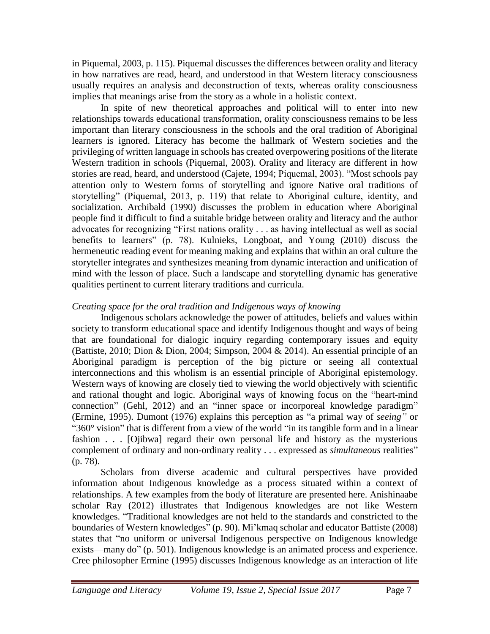in Piquemal, 2003, p. 115). Piquemal discusses the differences between orality and literacy in how narratives are read, heard, and understood in that Western literacy consciousness usually requires an analysis and deconstruction of texts, whereas orality consciousness implies that meanings arise from the story as a whole in a holistic context.

In spite of new theoretical approaches and political will to enter into new relationships towards educational transformation, orality consciousness remains to be less important than literary consciousness in the schools and the oral tradition of Aboriginal learners is ignored. Literacy has become the hallmark of Western societies and the privileging of written language in schools has created overpowering positions of the literate Western tradition in schools (Piquemal, 2003). Orality and literacy are different in how stories are read, heard, and understood (Cajete, 1994; Piquemal, 2003). "Most schools pay attention only to Western forms of storytelling and ignore Native oral traditions of storytelling" (Piquemal, 2013, p. 119) that relate to Aboriginal culture, identity, and socialization. Archibald (1990) discusses the problem in education where Aboriginal people find it difficult to find a suitable bridge between orality and literacy and the author advocates for recognizing "First nations orality . . . as having intellectual as well as social benefits to learners" (p. 78). Kulnieks, Longboat, and Young (2010) discuss the hermeneutic reading event for meaning making and explains that within an oral culture the storyteller integrates and synthesizes meaning from dynamic interaction and unification of mind with the lesson of place. Such a landscape and storytelling dynamic has generative qualities pertinent to current literary traditions and curricula.

# *Creating space for the oral tradition and Indigenous ways of knowing*

Indigenous scholars acknowledge the power of attitudes, beliefs and values within society to transform educational space and identify Indigenous thought and ways of being that are foundational for dialogic inquiry regarding contemporary issues and equity (Battiste, 2010; Dion & Dion, 2004; Simpson, 2004 & 2014). An essential principle of an Aboriginal paradigm is perception of the big picture or seeing all contextual interconnections and this wholism is an essential principle of Aboriginal epistemology. Western ways of knowing are closely tied to viewing the world objectively with scientific and rational thought and logic. Aboriginal ways of knowing focus on the "heart-mind connection" (Gehl, 2012) and an "inner space or incorporeal knowledge paradigm" (Ermine, 1995). Dumont (1976) explains this perception as "a primal way of *seeing"* or "360° vision" that is different from a view of the world "in its tangible form and in a linear fashion . . . [Ojibwa] regard their own personal life and history as the mysterious complement of ordinary and non-ordinary reality . . . expressed as *simultaneous* realities" (p. 78).

Scholars from diverse academic and cultural perspectives have provided information about Indigenous knowledge as a process situated within a context of relationships. A few examples from the body of literature are presented here. Anishinaabe scholar Ray (2012) illustrates that Indigenous knowledges are not like Western knowledges. "Traditional knowledges are not held to the standards and constricted to the boundaries of Western knowledges" (p. 90). Mi'kmaq scholar and educator Battiste (2008) states that "no uniform or universal Indigenous perspective on Indigenous knowledge exists—many do" (p. 501). Indigenous knowledge is an animated process and experience. Cree philosopher Ermine (1995) discusses Indigenous knowledge as an interaction of life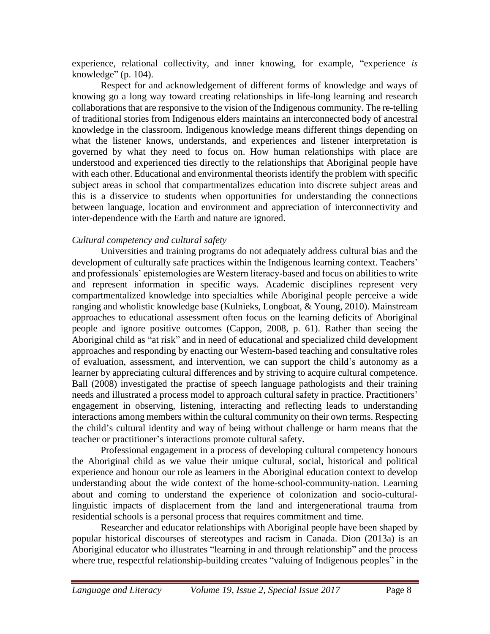experience, relational collectivity, and inner knowing, for example, "experience *is* knowledge" (p. 104).

Respect for and acknowledgement of different forms of knowledge and ways of knowing go a long way toward creating relationships in life-long learning and research collaborations that are responsive to the vision of the Indigenous community. The re-telling of traditional stories from Indigenous elders maintains an interconnected body of ancestral knowledge in the classroom. Indigenous knowledge means different things depending on what the listener knows, understands, and experiences and listener interpretation is governed by what they need to focus on. How human relationships with place are understood and experienced ties directly to the relationships that Aboriginal people have with each other. Educational and environmental theorists identify the problem with specific subject areas in school that compartmentalizes education into discrete subject areas and this is a disservice to students when opportunities for understanding the connections between language, location and environment and appreciation of interconnectivity and inter-dependence with the Earth and nature are ignored.

## *Cultural competency and cultural safety*

Universities and training programs do not adequately address cultural bias and the development of culturally safe practices within the Indigenous learning context. Teachers' and professionals' epistemologies are Western literacy-based and focus on abilities to write and represent information in specific ways. Academic disciplines represent very compartmentalized knowledge into specialties while Aboriginal people perceive a wide ranging and wholistic knowledge base (Kulnieks, Longboat, & Young, 2010). Mainstream approaches to educational assessment often focus on the learning deficits of Aboriginal people and ignore positive outcomes (Cappon, 2008, p. 61). Rather than seeing the Aboriginal child as "at risk" and in need of educational and specialized child development approaches and responding by enacting our Western-based teaching and consultative roles of evaluation, assessment, and intervention, we can support the child's autonomy as a learner by appreciating cultural differences and by striving to acquire cultural competence. Ball (2008) investigated the practise of speech language pathologists and their training needs and illustrated a process model to approach cultural safety in practice. Practitioners' engagement in observing, listening, interacting and reflecting leads to understanding interactions among members within the cultural community on their own terms. Respecting the child's cultural identity and way of being without challenge or harm means that the teacher or practitioner's interactions promote cultural safety.

Professional engagement in a process of developing cultural competency honours the Aboriginal child as we value their unique cultural, social, historical and political experience and honour our role as learners in the Aboriginal education context to develop understanding about the wide context of the home-school-community-nation. Learning about and coming to understand the experience of colonization and socio-culturallinguistic impacts of displacement from the land and intergenerational trauma from residential schools is a personal process that requires commitment and time.

Researcher and educator relationships with Aboriginal people have been shaped by popular historical discourses of stereotypes and racism in Canada. Dion (2013a) is an Aboriginal educator who illustrates "learning in and through relationship" and the process where true, respectful relationship-building creates "valuing of Indigenous peoples" in the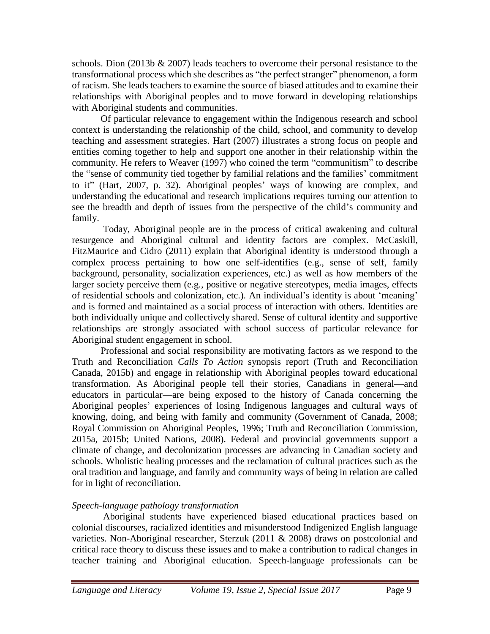schools. Dion (2013b  $\&$  2007) leads teachers to overcome their personal resistance to the transformational process which she describes as "the perfect stranger" phenomenon, a form of racism. She leads teachers to examine the source of biased attitudes and to examine their relationships with Aboriginal peoples and to move forward in developing relationships with Aboriginal students and communities.

Of particular relevance to engagement within the Indigenous research and school context is understanding the relationship of the child, school, and community to develop teaching and assessment strategies. Hart (2007) illustrates a strong focus on people and entities coming together to help and support one another in their relationship within the community. He refers to Weaver (1997) who coined the term "communitism" to describe the "sense of community tied together by familial relations and the families' commitment to it" (Hart, 2007, p. 32). Aboriginal peoples' ways of knowing are complex, and understanding the educational and research implications requires turning our attention to see the breadth and depth of issues from the perspective of the child's community and family.

Today, Aboriginal people are in the process of critical awakening and cultural resurgence and Aboriginal cultural and identity factors are complex. McCaskill, FitzMaurice and Cidro (2011) explain that Aboriginal identity is understood through a complex process pertaining to how one self-identifies (e.g., sense of self, family background, personality, socialization experiences, etc.) as well as how members of the larger society perceive them (e.g., positive or negative stereotypes, media images, effects of residential schools and colonization, etc.). An individual's identity is about 'meaning' and is formed and maintained as a social process of interaction with others. Identities are both individually unique and collectively shared. Sense of cultural identity and supportive relationships are strongly associated with school success of particular relevance for Aboriginal student engagement in school.

Professional and social responsibility are motivating factors as we respond to the Truth and Reconciliation *Calls To Action* synopsis report (Truth and Reconciliation Canada, 2015b) and engage in relationship with Aboriginal peoples toward educational transformation. As Aboriginal people tell their stories, Canadians in general—and educators in particular—are being exposed to the history of Canada concerning the Aboriginal peoples' experiences of losing Indigenous languages and cultural ways of knowing, doing, and being with family and community (Government of Canada, 2008; Royal Commission on Aboriginal Peoples, 1996; Truth and Reconciliation Commission, 2015a, 2015b; United Nations, 2008). Federal and provincial governments support a climate of change, and decolonization processes are advancing in Canadian society and schools. Wholistic healing processes and the reclamation of cultural practices such as the oral tradition and language, and family and community ways of being in relation are called for in light of reconciliation.

## *Speech-language pathology transformation*

Aboriginal students have experienced biased educational practices based on colonial discourses, racialized identities and misunderstood Indigenized English language varieties. Non-Aboriginal researcher, Sterzuk (2011 & 2008) draws on postcolonial and critical race theory to discuss these issues and to make a contribution to radical changes in teacher training and Aboriginal education. Speech-language professionals can be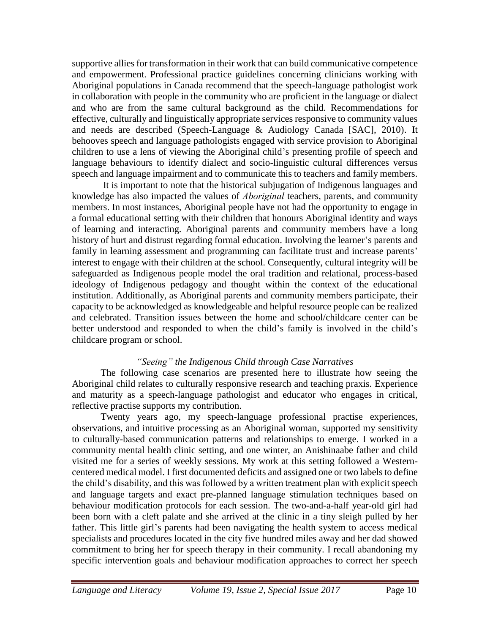supportive allies for transformation in their work that can build communicative competence and empowerment. Professional practice guidelines concerning clinicians working with Aboriginal populations in Canada recommend that the speech-language pathologist work in collaboration with people in the community who are proficient in the language or dialect and who are from the same cultural background as the child. Recommendations for effective, culturally and linguistically appropriate services responsive to community values and needs are described (Speech-Language & Audiology Canada [SAC], 2010). It behooves speech and language pathologists engaged with service provision to Aboriginal children to use a lens of viewing the Aboriginal child's presenting profile of speech and language behaviours to identify dialect and socio-linguistic cultural differences versus speech and language impairment and to communicate this to teachers and family members.

It is important to note that the historical subjugation of Indigenous languages and knowledge has also impacted the values of *Aboriginal* teachers, parents, and community members. In most instances, Aboriginal people have not had the opportunity to engage in a formal educational setting with their children that honours Aboriginal identity and ways of learning and interacting. Aboriginal parents and community members have a long history of hurt and distrust regarding formal education. Involving the learner's parents and family in learning assessment and programming can facilitate trust and increase parents' interest to engage with their children at the school. Consequently, cultural integrity will be safeguarded as Indigenous people model the oral tradition and relational, process-based ideology of Indigenous pedagogy and thought within the context of the educational institution. Additionally, as Aboriginal parents and community members participate, their capacity to be acknowledged as knowledgeable and helpful resource people can be realized and celebrated. Transition issues between the home and school/childcare center can be better understood and responded to when the child's family is involved in the child's childcare program or school.

## *"Seeing" the Indigenous Child through Case Narratives*

The following case scenarios are presented here to illustrate how seeing the Aboriginal child relates to culturally responsive research and teaching praxis. Experience and maturity as a speech-language pathologist and educator who engages in critical, reflective practise supports my contribution.

Twenty years ago, my speech-language professional practise experiences, observations, and intuitive processing as an Aboriginal woman, supported my sensitivity to culturally-based communication patterns and relationships to emerge. I worked in a community mental health clinic setting, and one winter, an Anishinaabe father and child visited me for a series of weekly sessions. My work at this setting followed a Westerncentered medical model. I first documented deficits and assigned one or two labels to define the child's disability, and this was followed by a written treatment plan with explicit speech and language targets and exact pre-planned language stimulation techniques based on behaviour modification protocols for each session. The two-and-a-half year-old girl had been born with a cleft palate and she arrived at the clinic in a tiny sleigh pulled by her father. This little girl's parents had been navigating the health system to access medical specialists and procedures located in the city five hundred miles away and her dad showed commitment to bring her for speech therapy in their community. I recall abandoning my specific intervention goals and behaviour modification approaches to correct her speech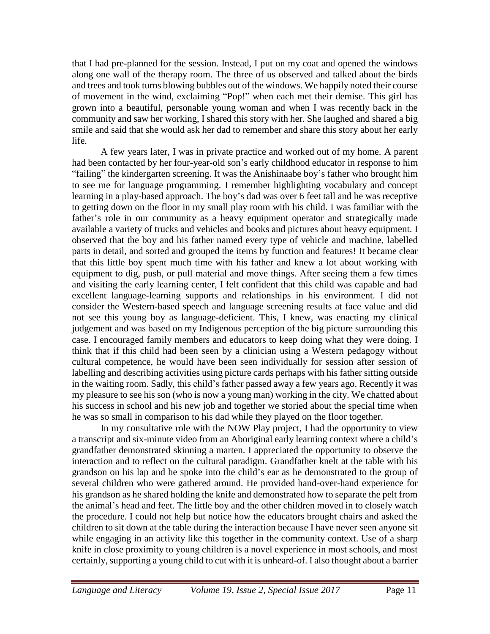that I had pre-planned for the session. Instead, I put on my coat and opened the windows along one wall of the therapy room. The three of us observed and talked about the birds and trees and took turns blowing bubbles out of the windows. We happily noted their course of movement in the wind, exclaiming "Pop!" when each met their demise. This girl has grown into a beautiful, personable young woman and when I was recently back in the community and saw her working, I shared this story with her. She laughed and shared a big smile and said that she would ask her dad to remember and share this story about her early life.

A few years later, I was in private practice and worked out of my home. A parent had been contacted by her four-year-old son's early childhood educator in response to him "failing" the kindergarten screening. It was the Anishinaabe boy's father who brought him to see me for language programming. I remember highlighting vocabulary and concept learning in a play-based approach. The boy's dad was over 6 feet tall and he was receptive to getting down on the floor in my small play room with his child. I was familiar with the father's role in our community as a heavy equipment operator and strategically made available a variety of trucks and vehicles and books and pictures about heavy equipment. I observed that the boy and his father named every type of vehicle and machine, labelled parts in detail, and sorted and grouped the items by function and features! It became clear that this little boy spent much time with his father and knew a lot about working with equipment to dig, push, or pull material and move things. After seeing them a few times and visiting the early learning center, I felt confident that this child was capable and had excellent language-learning supports and relationships in his environment. I did not consider the Western-based speech and language screening results at face value and did not see this young boy as language-deficient. This, I knew, was enacting my clinical judgement and was based on my Indigenous perception of the big picture surrounding this case. I encouraged family members and educators to keep doing what they were doing. I think that if this child had been seen by a clinician using a Western pedagogy without cultural competence, he would have been seen individually for session after session of labelling and describing activities using picture cards perhaps with his father sitting outside in the waiting room. Sadly, this child's father passed away a few years ago. Recently it was my pleasure to see his son (who is now a young man) working in the city. We chatted about his success in school and his new job and together we storied about the special time when he was so small in comparison to his dad while they played on the floor together.

In my consultative role with the NOW Play project, I had the opportunity to view a transcript and six-minute video from an Aboriginal early learning context where a child's grandfather demonstrated skinning a marten. I appreciated the opportunity to observe the interaction and to reflect on the cultural paradigm. Grandfather knelt at the table with his grandson on his lap and he spoke into the child's ear as he demonstrated to the group of several children who were gathered around. He provided hand-over-hand experience for his grandson as he shared holding the knife and demonstrated how to separate the pelt from the animal's head and feet. The little boy and the other children moved in to closely watch the procedure. I could not help but notice how the educators brought chairs and asked the children to sit down at the table during the interaction because I have never seen anyone sit while engaging in an activity like this together in the community context. Use of a sharp knife in close proximity to young children is a novel experience in most schools, and most certainly, supporting a young child to cut with it is unheard-of. I also thought about a barrier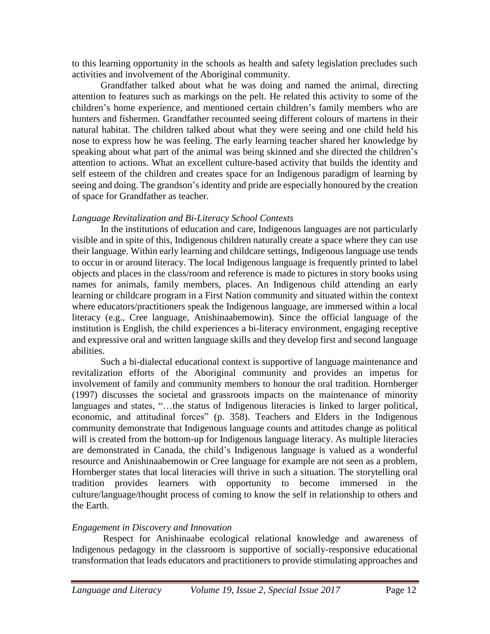to this learning opportunity in the schools as health and safety legislation precludes such activities and involvement of the Aboriginal community.

Grandfather talked about what he was doing and named the animal, directing attention to features such as markings on the pelt. He related this activity to some of the children's home experience, and mentioned certain children's family members who are hunters and fishermen. Grandfather recounted seeing different colours of martens in their natural habitat. The children talked about what they were seeing and one child held his nose to express how he was feeling. The early learning teacher shared her knowledge by speaking about what part of the animal was being skinned and she directed the children's attention to actions. What an excellent culture-based activity that builds the identity and self esteem of the children and creates space for an Indigenous paradigm of learning by seeing and doing. The grandson's identity and pride are especially honoured by the creation of space for Grandfather as teacher.

### *Language Revitalization and Bi-Literacy School Contexts*

In the institutions of education and care, Indigenous languages are not particularly visible and in spite of this, Indigenous children naturally create a space where they can use their language. Within early learning and childcare settings, Indigenous language use tends to occur in or around literacy. The local Indigenous language is frequently printed to label objects and places in the class/room and reference is made to pictures in story books using names for animals, family members, places. An Indigenous child attending an early learning or childcare program in a First Nation community and situated within the context where educators/practitioners speak the Indigenous language, are immersed within a local literacy (e.g., Cree language, Anishinaabemowin). Since the official language of the institution is English, the child experiences a bi-literacy environment, engaging receptive and expressive oral and written language skills and they develop first and second language abilities.

Such a bi-dialectal educational context is supportive of language maintenance and revitalization efforts of the Aboriginal community and provides an impetus for involvement of family and community members to honour the oral tradition. Hornberger (1997) discusses the societal and grassroots impacts on the maintenance of minority languages and states, "…the status of Indigenous literacies is linked to larger political, economic, and attitudinal forces" (p. 358). Teachers and Elders in the Indigenous community demonstrate that Indigenous language counts and attitudes change as political will is created from the bottom-up for Indigenous language literacy. As multiple literacies are demonstrated in Canada, the child's Indigenous language is valued as a wonderful resource and Anishinaabemowin or Cree language for example are not seen as a problem, Hornberger states that local literacies will thrive in such a situation. The storytelling oral tradition provides learners with opportunity to become immersed in the culture/language/thought process of coming to know the self in relationship to others and the Earth.

#### *Engagement in Discovery and Innovation*

Respect for Anishinaabe ecological relational knowledge and awareness of Indigenous pedagogy in the classroom is supportive of socially-responsive educational transformation that leads educators and practitioners to provide stimulating approaches and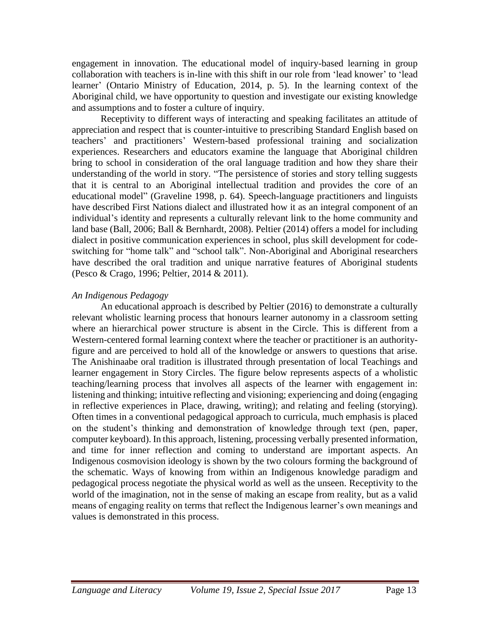engagement in innovation. The educational model of inquiry-based learning in group collaboration with teachers is in-line with this shift in our role from 'lead knower' to 'lead learner' (Ontario Ministry of Education, 2014, p. 5). In the learning context of the Aboriginal child, we have opportunity to question and investigate our existing knowledge and assumptions and to foster a culture of inquiry.

Receptivity to different ways of interacting and speaking facilitates an attitude of appreciation and respect that is counter-intuitive to prescribing Standard English based on teachers' and practitioners' Western-based professional training and socialization experiences. Researchers and educators examine the language that Aboriginal children bring to school in consideration of the oral language tradition and how they share their understanding of the world in story. "The persistence of stories and story telling suggests that it is central to an Aboriginal intellectual tradition and provides the core of an educational model" (Graveline 1998, p. 64). Speech-language practitioners and linguists have described First Nations dialect and illustrated how it as an integral component of an individual's identity and represents a culturally relevant link to the home community and land base (Ball, 2006; Ball & Bernhardt, 2008). Peltier (2014) offers a model for including dialect in positive communication experiences in school, plus skill development for codeswitching for "home talk" and "school talk". Non-Aboriginal and Aboriginal researchers have described the oral tradition and unique narrative features of Aboriginal students (Pesco & Crago, 1996; Peltier, 2014 & 2011).

## *An Indigenous Pedagogy*

An educational approach is described by Peltier (2016) to demonstrate a culturally relevant wholistic learning process that honours learner autonomy in a classroom setting where an hierarchical power structure is absent in the Circle. This is different from a Western-centered formal learning context where the teacher or practitioner is an authorityfigure and are perceived to hold all of the knowledge or answers to questions that arise. The Anishinaabe oral tradition is illustrated through presentation of local Teachings and learner engagement in Story Circles. The figure below represents aspects of a wholistic teaching/learning process that involves all aspects of the learner with engagement in: listening and thinking; intuitive reflecting and visioning; experiencing and doing (engaging in reflective experiences in Place, drawing, writing); and relating and feeling (storying). Often times in a conventional pedagogical approach to curricula, much emphasis is placed on the student's thinking and demonstration of knowledge through text (pen, paper, computer keyboard). In this approach, listening, processing verbally presented information, and time for inner reflection and coming to understand are important aspects. An Indigenous cosmovision ideology is shown by the two colours forming the background of the schematic. Ways of knowing from within an Indigenous knowledge paradigm and pedagogical process negotiate the physical world as well as the unseen. Receptivity to the world of the imagination, not in the sense of making an escape from reality, but as a valid means of engaging reality on terms that reflect the Indigenous learner's own meanings and values is demonstrated in this process.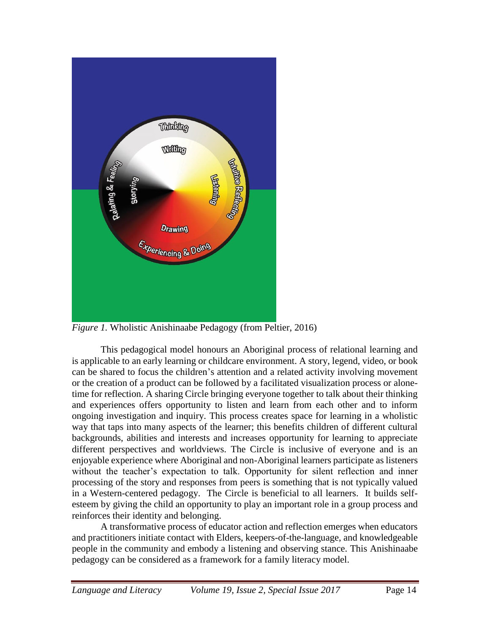

*Figure 1.* Wholistic Anishinaabe Pedagogy (from Peltier, 2016)

This pedagogical model honours an Aboriginal process of relational learning and is applicable to an early learning or childcare environment. A story, legend, video, or book can be shared to focus the children's attention and a related activity involving movement or the creation of a product can be followed by a facilitated visualization process or alonetime for reflection. A sharing Circle bringing everyone together to talk about their thinking and experiences offers opportunity to listen and learn from each other and to inform ongoing investigation and inquiry. This process creates space for learning in a wholistic way that taps into many aspects of the learner; this benefits children of different cultural backgrounds, abilities and interests and increases opportunity for learning to appreciate different perspectives and worldviews. The Circle is inclusive of everyone and is an enjoyable experience where Aboriginal and non-Aboriginal learners participate as listeners without the teacher's expectation to talk. Opportunity for silent reflection and inner processing of the story and responses from peers is something that is not typically valued in a Western-centered pedagogy. The Circle is beneficial to all learners. It builds selfesteem by giving the child an opportunity to play an important role in a group process and reinforces their identity and belonging.

A transformative process of educator action and reflection emerges when educators and practitioners initiate contact with Elders, keepers-of-the-language, and knowledgeable people in the community and embody a listening and observing stance. This Anishinaabe pedagogy can be considered as a framework for a family literacy model.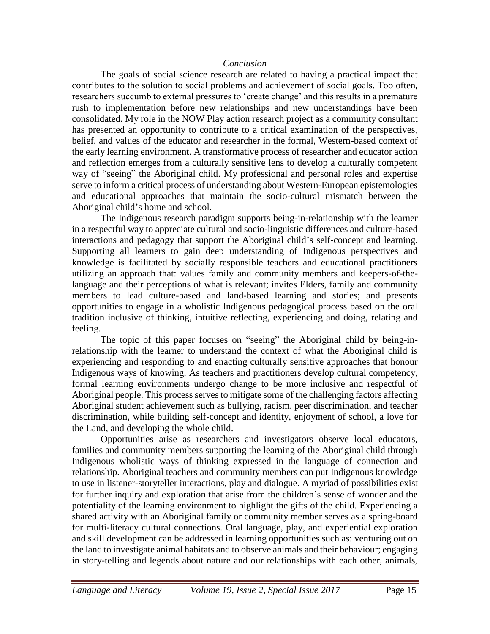#### *Conclusion*

The goals of social science research are related to having a practical impact that contributes to the solution to social problems and achievement of social goals. Too often, researchers succumb to external pressures to 'create change' and this results in a premature rush to implementation before new relationships and new understandings have been consolidated. My role in the NOW Play action research project as a community consultant has presented an opportunity to contribute to a critical examination of the perspectives, belief, and values of the educator and researcher in the formal, Western-based context of the early learning environment. A transformative process of researcher and educator action and reflection emerges from a culturally sensitive lens to develop a culturally competent way of "seeing" the Aboriginal child. My professional and personal roles and expertise serve to inform a critical process of understanding about Western-European epistemologies and educational approaches that maintain the socio-cultural mismatch between the Aboriginal child's home and school.

The Indigenous research paradigm supports being-in-relationship with the learner in a respectful way to appreciate cultural and socio-linguistic differences and culture-based interactions and pedagogy that support the Aboriginal child's self-concept and learning. Supporting all learners to gain deep understanding of Indigenous perspectives and knowledge is facilitated by socially responsible teachers and educational practitioners utilizing an approach that: values family and community members and keepers-of-thelanguage and their perceptions of what is relevant; invites Elders, family and community members to lead culture-based and land-based learning and stories; and presents opportunities to engage in a wholistic Indigenous pedagogical process based on the oral tradition inclusive of thinking, intuitive reflecting, experiencing and doing, relating and feeling.

The topic of this paper focuses on "seeing" the Aboriginal child by being-inrelationship with the learner to understand the context of what the Aboriginal child is experiencing and responding to and enacting culturally sensitive approaches that honour Indigenous ways of knowing. As teachers and practitioners develop cultural competency, formal learning environments undergo change to be more inclusive and respectful of Aboriginal people. This process serves to mitigate some of the challenging factors affecting Aboriginal student achievement such as bullying, racism, peer discrimination, and teacher discrimination, while building self-concept and identity, enjoyment of school, a love for the Land, and developing the whole child.

Opportunities arise as researchers and investigators observe local educators, families and community members supporting the learning of the Aboriginal child through Indigenous wholistic ways of thinking expressed in the language of connection and relationship. Aboriginal teachers and community members can put Indigenous knowledge to use in listener-storyteller interactions, play and dialogue. A myriad of possibilities exist for further inquiry and exploration that arise from the children's sense of wonder and the potentiality of the learning environment to highlight the gifts of the child. Experiencing a shared activity with an Aboriginal family or community member serves as a spring-board for multi-literacy cultural connections. Oral language, play, and experiential exploration and skill development can be addressed in learning opportunities such as: venturing out on the land to investigate animal habitats and to observe animals and their behaviour; engaging in story-telling and legends about nature and our relationships with each other, animals,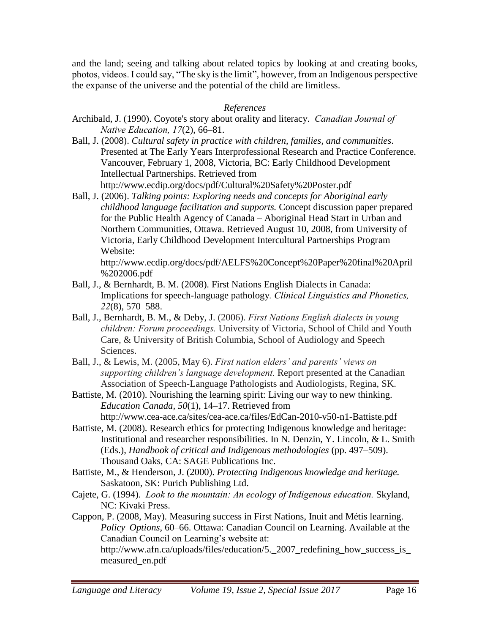and the land; seeing and talking about related topics by looking at and creating books, photos, videos. I could say, "The sky is the limit", however, from an Indigenous perspective the expanse of the universe and the potential of the child are limitless.

# *References*

- Archibald, J. (1990). Coyote's story about orality and literacy. *Canadian Journal of Native Education, 17*(2), 66–81.
- Ball, J. (2008). *Cultural safety in practice with children, families, and communities*. Presented at The Early Years Interprofessional Research and Practice Conference. Vancouver, February 1, 2008, Victoria, BC: Early Childhood Development Intellectual Partnerships. Retrieved from <http://www.ecdip.org/docs/pdf/Cultural%20Safety%20Poster.pdf>
- Ball, J. (2006). *Talking points: Exploring needs and concepts for Aboriginal early childhood language facilitation and supports.* Concept discussion paper prepared for the Public Health Agency of Canada – Aboriginal Head Start in Urban and Northern Communities, Ottawa. Retrieved August 10, 2008, from University of Victoria, Early Childhood Development Intercultural Partnerships Program Website:

http://www.ecdip.org/docs/pdf/AELFS%20Concept%20Paper%20final%20April %202006.pdf

- Ball, J., & Bernhardt, B. M. (2008). First Nations English Dialects in Canada: Implications for speech-language pathology*. Clinical Linguistics and Phonetics, 22*(8), 570–588.
- Ball, J., Bernhardt, B. M., & Deby, J. (2006). *First Nations English dialects in young children: Forum proceedings.* University of Victoria, School of Child and Youth Care, & University of British Columbia, School of Audiology and Speech Sciences.
- Ball, J., & Lewis, M. (2005, May 6). *First nation elders' and parents' views on supporting children's language development.* Report presented at the Canadian Association of Speech-Language Pathologists and Audiologists, Regina, SK.
- Battiste, M. (2010). Nourishing the learning spirit: Living our way to new thinking. *Education Canada, 50*(1), 14*–*17. Retrieved from http://www.cea-ace.ca/sites/cea-ace.ca/files/EdCan-2010-v50-n1-Battiste.pdf
- Battiste, M. (2008). Research ethics for protecting Indigenous knowledge and heritage: Institutional and researcher responsibilities. In N. Denzin, Y. Lincoln, & L. Smith (Eds.), *Handbook of critical and Indigenous methodologies* (pp. 497–509). Thousand Oaks, CA: SAGE Publications Inc.
- Battiste, M., & Henderson, J. (2000). *Protecting Indigenous knowledge and heritage.* Saskatoon, SK: Purich Publishing Ltd.
- Cajete, G. (1994). *Look to the mountain: An ecology of Indigenous education.* Skyland, NC: Kivaki Press.
- Cappon, P. (2008, May). Measuring success in First Nations, Inuit and Métis learning. *Policy Options*, 60–66. Ottawa: Canadian Council on Learning. Available at the Canadian Council on Learning's website at:

http://www.afn.ca/uploads/files/education/5.\_2007\_redefining\_how\_success\_is\_ measured\_en.pdf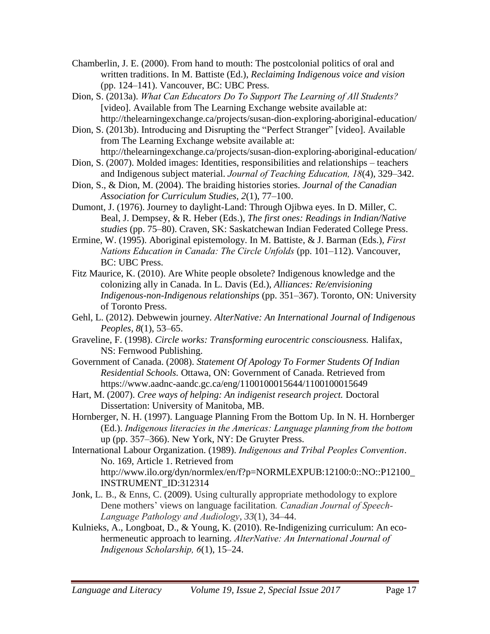- Chamberlin, J. E. (2000). From hand to mouth: The postcolonial politics of oral and written traditions. In M. Battiste (Ed.), *Reclaiming Indigenous voice and vision* (pp. 124–141). Vancouver, BC: UBC Press.
- Dion, S. (2013a). *What Can Educators Do To Support The Learning of All Students?* [video]. Available from The Learning Exchange website available at: http://thelearningexchange.ca/projects/susan-dion-exploring-aboriginal-education/
- Dion, S. (2013b). Introducing and Disrupting the "Perfect Stranger" [video]. Available from The Learning Exchange website available at: http://thelearningexchange.ca/projects/susan-dion-exploring-aboriginal-education/
- Dion, S. (2007). Molded images: Identities, responsibilities and relationships teachers and Indigenous subject material. *Journal of Teaching Education, 18*(4), 329–342.
- Dion, S., & Dion, M. (2004). The braiding histories stories. *Journal of the Canadian Association for Curriculum Studies, 2*(1), 77–100.
- Dumont, J. (1976). Journey to daylight-Land: Through Ojibwa eyes. In D. Miller, C. Beal, J. Dempsey, & R. Heber (Eds.), *The first ones: Readings in Indian/Native studies* (pp. 75–80). Craven, SK: Saskatchewan Indian Federated College Press.
- Ermine, W. (1995). Aboriginal epistemology. In M. Battiste, & J. Barman (Eds.), *First Nations Education in Canada: The Circle Unfolds* (pp. 101–112). Vancouver, BC: UBC Press.
- Fitz Maurice, K. (2010). Are White people obsolete? Indigenous knowledge and the colonizing ally in Canada. In L. Davis (Ed.), *Alliances: Re/envisioning Indigenous-non-Indigenous relationships* (pp. 351–367). Toronto, ON: University of Toronto Press.
- Gehl, L. (2012). Debwewin journey*. AlterNative: An International Journal of Indigenous Peoples, 8*(1), 53–65.
- Graveline, F. (1998). *Circle works: Transforming eurocentric consciousness.* Halifax, NS: Fernwood Publishing.
- Government of Canada. (2008). *Statement Of Apology To Former Students Of Indian Residential Schools.* Ottawa, ON: Government of Canada. Retrieved from https://www.aadnc-aandc.gc.ca/eng/1100100015644/1100100015649
- Hart, M. (2007). *Cree ways of helping: An indigenist research project.* Doctoral Dissertation: University of Manitoba, MB.
- Hornberger, N. H. (1997). Language Planning From the Bottom Up. In N. H. Hornberger (Ed.). *Indigenous literacies in the Americas: Language planning from the bottom* up (pp. 357–366). New York, NY: De Gruyter Press.
- International Labour Organization. (1989). *Indigenous and Tribal Peoples Convention*. No. 169, Article 1. Retrieved from http://www.ilo.org/dyn/normlex/en/f?p=NORMLEXPUB:12100:0::NO::P12100\_ INSTRUMENT\_ID:312314
- Jonk, L. B., & Enns, C. (2009). Using culturally appropriate methodology to explore Dene mothers' views on language facilitation*. Canadian Journal of Speech-Language Pathology and Audiology*, *33*(1), 34–44.
- Kulnieks, A., Longboat, D., & Young, K. (2010). Re-Indigenizing curriculum: An ecohermeneutic approach to learning. *AlterNative: An International Journal of Indigenous Scholarship, 6*(1), 15–24.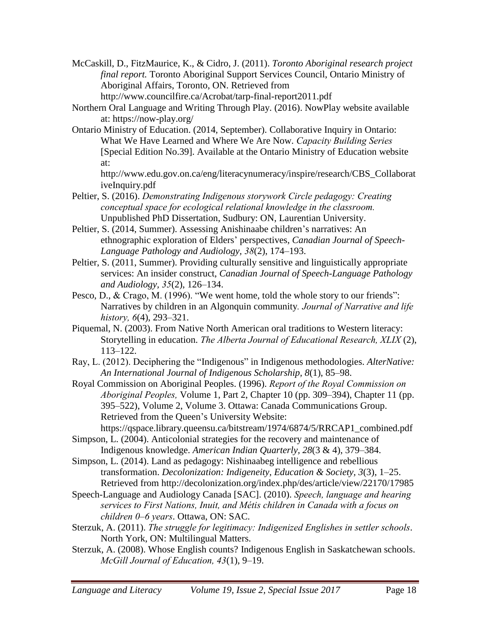McCaskill, D., FitzMaurice, K., & Cidro, J. (2011). *Toronto Aboriginal research project final report.* Toronto Aboriginal Support Services Council, Ontario Ministry of Aboriginal Affairs, Toronto, ON. Retrieved from http://www.councilfire.ca/Acrobat/tarp-final-report2011.pdf

- Northern Oral Language and Writing Through Play. (2016). NowPlay website available at: https://now-play.org/
- Ontario Ministry of Education. (2014, September). Collaborative Inquiry in Ontario: What We Have Learned and Where We Are Now. *Capacity Building Series* [Special Edition No.39]. Available at the Ontario Ministry of Education website at:

http://www.edu.gov.on.ca/eng/literacynumeracy/inspire/research/CBS\_Collaborat iveInquiry.pdf

- Peltier, S. (2016). *Demonstrating Indigenous storywork Circle pedagogy: Creating conceptual space for ecological relational knowledge in the classroom.* Unpublished PhD Dissertation, Sudbury: ON, Laurentian University.
- Peltier, S. (2014, Summer). Assessing Anishinaabe children's narratives: An ethnographic exploration of Elders' perspectives, *Canadian Journal of Speech-Language Pathology and Audiology, 38*(2), 174–193.
- Peltier, S. (2011, Summer). Providing culturally sensitive and linguistically appropriate services: An insider construct, *Canadian Journal of Speech-Language Pathology and Audiology, 35*(2), 126–134.
- Pesco, D., & Crago, M. (1996). "We went home, told the whole story to our friends": Narratives by children in an Algonquin community*. Journal of Narrative and life history, 6*(4), 293–321.
- Piquemal, N. (2003). From Native North American oral traditions to Western literacy: Storytelling in education. *The Alberta Journal of Educational Research, XLIX* (2), 113–122.
- Ray, L. (2012). Deciphering the "Indigenous" in Indigenous methodologies. *AlterNative: An International Journal of Indigenous Scholarship, 8*(1), 85–98.
- Royal Commission on Aboriginal Peoples. (1996). *Report of the Royal Commission on Aboriginal Peoples,* Volume 1, Part 2, Chapter 10 (pp. 309–394), Chapter 11 (pp. 395–522), Volume 2, Volume 3. Ottawa: Canada Communications Group. Retrieved from the Queen's University Website:

https://qspace.library.queensu.ca/bitstream/1974/6874/5/RRCAP1\_combined.pdf

- Simpson, L. (2004). Anticolonial strategies for the recovery and maintenance of Indigenous knowledge. *American Indian Quarterly, 28*(3 & 4), 379–384.
- Simpson, L. (2014). Land as pedagogy: Nishinaabeg intelligence and rebellious transformation. *Decolonization: Indigeneity, Education & Society, 3*(3), 1–25. Retrieved from http://decolonization.org/index.php/des/article/view/22170/17985
- Speech-Language and Audiology Canada [SAC]. (2010). *Speech, language and hearing services to First Nations, Inuit, and Métis children in Canada with a focus on children 0–6 years*. Ottawa, ON: SAC.
- Sterzuk, A. (2011). *The struggle for legitimacy: Indigenized Englishes in settler schools*. North York, ON: Multilingual Matters.
- Sterzuk, A. (2008). Whose English counts? Indigenous English in Saskatchewan schools. *McGill Journal of Education, 43*(1), 9–19.